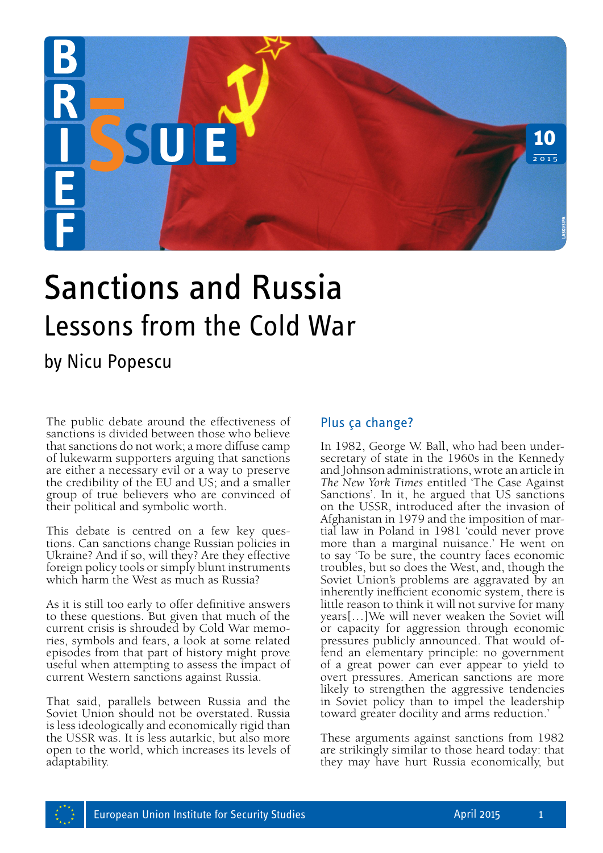

# Sanctions and Russia Lessons from the Cold War

# by Nicu Popescu

The public debate around the effectiveness of sanctions is divided between those who believe that sanctions do not work; a more diffuse camp of lukewarm supporters arguing that sanctions are either a necessary evil or a way to preserve the credibility of the EU and US; and a smaller group of true believers who are convinced of their political and symbolic worth.

This debate is centred on a few key questions. Can sanctions change Russian policies in Ukraine? And if so, will they? Are they effective foreign policy tools or simply blunt instruments which harm the West as much as Russia?

As it is still too early to offer definitive answers to these questions. But given that much of the ries, symbols and fears, a look at some related episodes from that part of history might prove useful when attempting to assess the impact of current Western sanctions against Russia.

That said, parallels between Russia and the Soviet Union should not be overstated. Russia is less ideologically and economically rigid than the USSR was. It is less autarkic, but also more open to the world, which increases its levels of adaptability.

#### Plus ça change?

In 1982, George W. Ball, who had been undersecretary of state in the 1960s in the Kennedy and Johnson administrations, wrote an article in *The New York Times* entitled 'The Case Against Sanctions'. In it, he argued that US sanctions on the USSR, introduced after the invasion of<br>Afghanistan in 1979 and the imposition of martial law in Poland in 1981 'could never prove more than a marginal nuisance.' He went on to say 'To be sure, the country faces economic troubles, but so does the West, and, though the Soviet Union's problems are aggravated by an inherently inefficient economic system, there is little reason to think it will not survive for many years[…]We will never weaken the Soviet will or capacity for aggression through economic pressures publicly announced. That would offend an elementary principle: no government of a great power can ever appear to yield to overt pressures. American sanctions are more likely to strengthen the aggressive tendencies in Soviet policy than to impel the leadership toward greater docility and arms reduction.' **Plus can change?**<br> **Plus can change?**<br>
In 1982, George W. Ball, who had been under-<br>
secretary of state in the 1960s in the Kennedy<br>
and Johnson administrations, where an article in<br>
The New York Times entitled The Case A

These arguments against sanctions from 1982 are strikingly similar to those heard today: that they may have hurt Russia economically, but

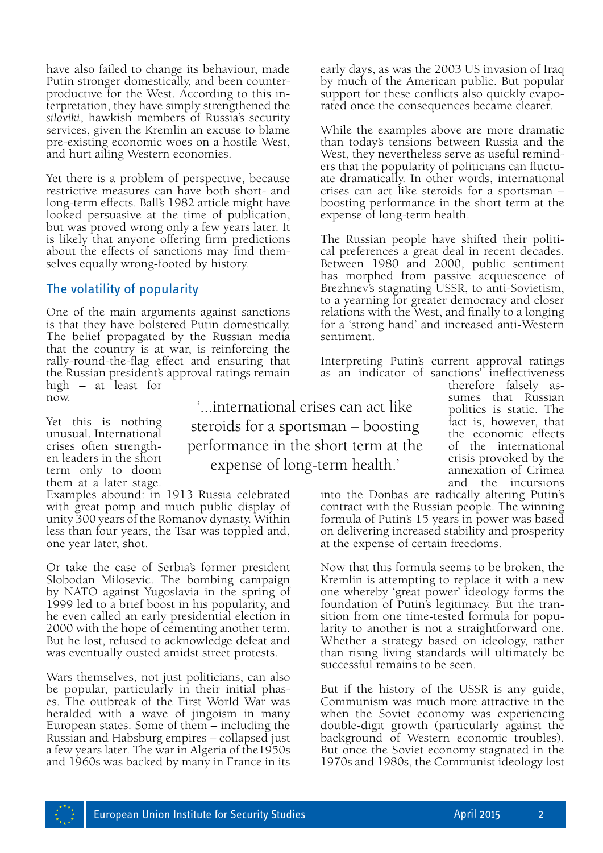have also failed to change its behaviour, made Putin stronger domestically, and been counterproductive for the West. According to this interpretation, they have simply strengthened the *siloviki*, hawkish members of Russia's security services, given the Kremlin an excuse to blame pre-existing economic woes on a hostile West, and hurt ailing Western economies.

Yet there is a problem of perspective, because restrictive measures can have both short- and long-term effects. Ball's 1982 article might have looked persuasive at the time of publication, but was proved wrong only a few years later. It is likely that anyone offering firm predictions about the effects of sanctions may find themselves equally wrong-footed by history.

## The volatility of popularity

One of the main arguments against sanctions is that they have bolstered Putin domestically. The belief propagated by the Russian media that the country is at war, is reinforcing the rally-round-the-flag effect and ensuring that the Russian president's approval ratings remain high – at least for now.

Yet this is nothing unusual. International crises often strengthen leaders in the short term only to doom them at a later stage.

Examples abound: in 1913 Russia celebrated with great pomp and much public display of unity 300 years of the Romanov dynasty. Within less than four years, the Tsar was toppled and, one year later, shot.

Or take the case of Serbia's former president Slobodan Milosevic. The bombing campaign by NATO against Yugoslavia in the spring of 1999 led to a brief boost in his popularity, and he even called an early presidential election in 2000 with the hope of cementing another term. But he lost, refused to acknowledge defeat and was eventually ousted amidst street protests.

Wars themselves, not just politicians, can also be popular, particularly in their initial phases. The outbreak of the First World War was heralded with a wave of jingoism in many European states. Some of them – including the Russian and Habsburg empires – collapsed just a few years later. The war in Algeria of the1950s and 1960s was backed by many in France in its

'...international crises can act like steroids for a sportsman – boosting performance in the short term at the expense of long-term health.'

early days, as was the 2003 US invasion of Iraq by much of the American public. But popular support for these conflicts also quickly evaporated once the consequences became clearer.

While the examples above are more dramatic than today's tensions between Russia and the West, they nevertheless serve as useful remind- ers that the popularity of politicians can fluctuate dramatically. In other words, international crises can act like steroids for a sportsman – boosting performance in the short term at the expense of long-term health.

The Russian people have shifted their political preferences a great deal in recent decades. Between 1980 and 2000, public sentiment has morphed from passive acquiescence of Brezhnev's stagnating USSR, to anti-Sovietism, to a yearning for greater democracy and closer relations with the West, and finally to a longing for a 'strong hand' and increased anti-Western sentiment.

Interpreting Putin's current approval ratings as an indicator of sanctions' ineffectiveness

> therefore falsely assumes that Russian politics is static. The fact is, however, that the economic effects of the international crisis provoked by the annexation of Crimea and the incursions

into the Donbas are radically altering Putin's contract with the Russian people. The winning formula of Putin's 15 years in power was based on delivering increased stability and prosperity at the expense of certain freedoms.

Now that this formula seems to be broken, the Kremlin is attempting to replace it with a new one whereby 'great power' ideology forms the foundation of Putin's legitimacy. But the tran- sition from one time-tested formula for popularity to another is not a straightforward one. Whether a strategy based on ideology, rather than rising living standards will ultimately be successful remains to be seen.

But if the history of the USSR is any guide, Communism was much more attractive in the when the Soviet economy was experiencing double-digit growth (particularly against the background of Western economic troubles). But once the Soviet economy stagnated in the 1970s and 1980s, the Communist ideology lost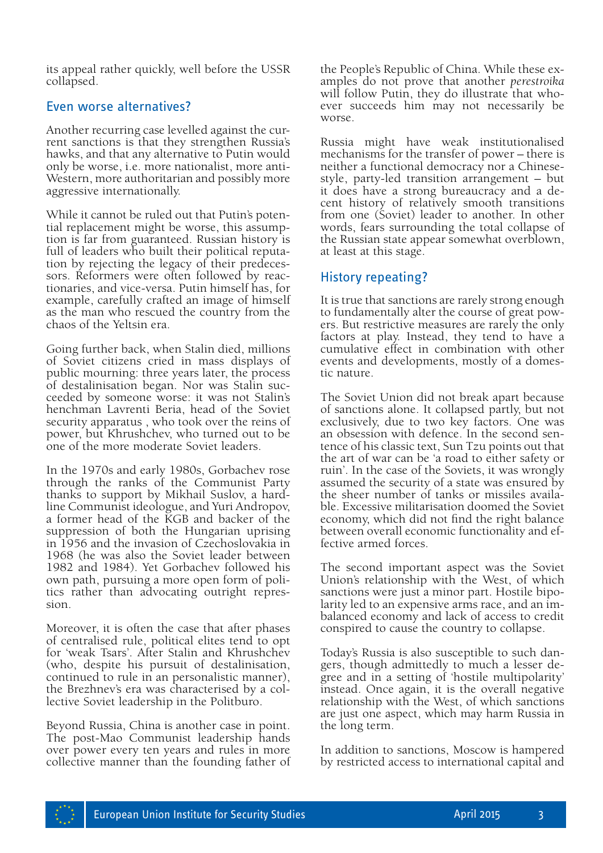its appeal rather quickly, well before the USSR collapsed.

#### Even worse alternatives?

Another recurring case levelled against the current sanctions is that they strengthen Russia's hawks, and that any alternative to Putin would only be worse, i.e. more nationalist, more anti-Western, more authoritarian and possibly more aggressive internationally.

While it cannot be ruled out that Putin's potential replacement might be worse, this assumption is far from guaranteed. Russian history is full of leaders who built their political reputation by rejecting the legacy of their predecessors. Reformers were often followed by reactionaries, and vice-versa. Putin himself has, for example, carefully crafted an image of himself as the man who rescued the country from the chaos of the Yeltsin era.

Going further back, when Stalin died, millions of Soviet citizens cried in mass displays of public mourning: three years later, the process of destalinisation began. Nor was Stalin suc- ceeded by someone worse: it was not Stalin's henchman Lavrenti Beria, head of the Soviet security apparatus , who took over the reins of power, but Khrushchev, who turned out to be one of the more moderate Soviet leaders.

In the 1970s and early 1980s, Gorbachev rose through the ranks of the Communist Party thanks to support by Mikhail Suslov, a hardline Communist ideologue, and Yuri Andropov, a former head of the KGB and backer of the suppression of both the Hungarian uprising in 1956 and the invasion of Czechoslovakia in 1968 (he was also the Soviet leader between 1982 and 1984). Yet Gorbachev followed his own path, pursuing a more open form of politics rather than advocating outright repres- sion.

Moreover, it is often the case that after phases of centralised rule, political elites tend to opt for 'weak Tsars'. After Stalin and Khrushchev (who, despite his pursuit of destalinisation, continued to rule in an personalistic manner), the Brezhnev's era was characterised by a collective Soviet leadership in the Politburo.

Beyond Russia, China is another case in point. The post-Mao Communist leadership hands over power every ten years and rules in more collective manner than the founding father of the People's Republic of China. While these examples do not prove that another *perestroika*  will follow Putin, they do illustrate that whoever succeeds him may not necessarily be worse.

Russia might have weak institutionalised mechanisms for the transfer of power – there is neither a functional democracy nor a Chinesestyle, party-led transition arrangement – but cent history of relatively smooth transitions from one (Soviet) leader to another. In other words, fears surrounding the total collapse of the Russian state appear somewhat overblown, at least at this stage.

## History repeating?

It is true that sanctions are rarely strong enough to fundamentally alter the course of great powers. But restrictive measures are rarely the only factors at play. Instead, they tend to have a cumulative effect in combination with other events and developments, mostly of a domestic nature.

The Soviet Union did not break apart because of sanctions alone. It collapsed partly, but not exclusively, due to two key factors. One was an obsession with defence. In the second sentence of his classic text, Sun Tzu points out that the art of war can be 'a road to either safety or ruin'. In the case of the Soviets, it was wrongly assumed the security of a state was ensured by the sheer number of tanks or missiles available. Excessive militarisation doomed the Soviet economy, which did not find the right balance between overall economic functionality and effective armed forces.

The second important aspect was the Soviet Union's relationship with the West, of which sanctions were just a minor part. Hostile bipolarity led to an expensive arms race, and an imbalanced economy and lack of access to credit conspired to cause the country to collapse.

Today's Russia is also susceptible to such dangers, though admittedly to much a lesser degree and in a setting of 'hostile multipolarity' instead. Once again, it is the overall negative relationship with the West, of which sanctions are just one aspect, which may harm Russia in the long term.

In addition to sanctions, Moscow is hampered by restricted access to international capital and